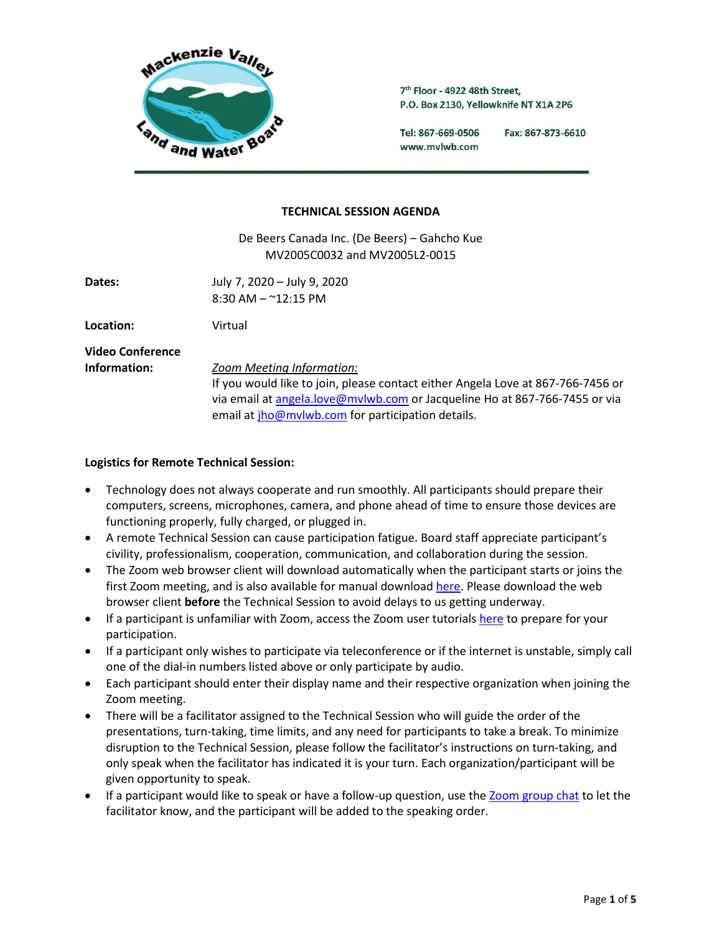

7th Floor - 4922 48th Street, P.O. Box 2130, Yellowknife NT X1A 2P6

Tel: 867-669-0506 Fax: 867-873-6610 www.mvlwb.com

#### **TECHNICAL SESSION AGENDA**

De Beers Canada Inc. (De Beers) – Gahcho Kue MV2005C0032 and MV2005L2-0015

**Dates:** July 7, 2020 – July 9, 2020 8:30 AM – ~12:15 PM

**Location:** Virtual

**Video Conference**

**Information:** *Zoom Meeting Information:* 

If you would like to join, please contact either Angela Love at 867-766-7456 or via email at [angela.love@mvlwb.com](mailto:angela.love@mvlwb.com) or Jacqueline Ho at 867-766-7455 or via email a[t jho@mvlwb.com](mailto:jho@mvlwb.com) for participation details.

### **Logistics for Remote Technical Session:**

- Technology does not always cooperate and run smoothly. All participants should prepare their computers, screens, microphones, camera, and phone ahead of time to ensure those devices are functioning properly, fully charged, or plugged in.
- A remote Technical Session can cause participation fatigue. Board staff appreciate participant's civility, professionalism, cooperation, communication, and collaboration during the session.
- The Zoom web browser client will download automatically when the participant starts or joins the first Zoom meeting, and is also available for manual download [here.](https://zoom.us/client/latest/ZoomInstaller.exe) Please download the web browser client **before** the Technical Session to avoid delays to us getting underway.
- If a participant is unfamiliar with Zoom, access the Zoom user tutorial[s here](https://support.zoom.us/hc/en-us/articles/206618765-Zoom-Video-Tutorials) to prepare for your participation.
- If a participant only wishes to participate via teleconference or if the internet is unstable, simply call one of the dial-in numbers listed above or only participate by audio.
- Each participant should enter their display name and their respective organization when joining the Zoom meeting.
- There will be a facilitator assigned to the Technical Session who will guide the order of the presentations, turn-taking, time limits, and any need for participants to take a break. To minimize disruption to the Technical Session, please follow the facilitator's instructions on turn-taking, and only speak when the facilitator has indicated it is your turn. Each organization/participant will be given opportunity to speak.
- If a participant would like to speak or have a follow-up question, use the [Zoom group chat](https://support.zoom.us/hc/en-us/articles/203650445-In-meeting-chat) to let the facilitator know, and the participant will be added to the speaking order.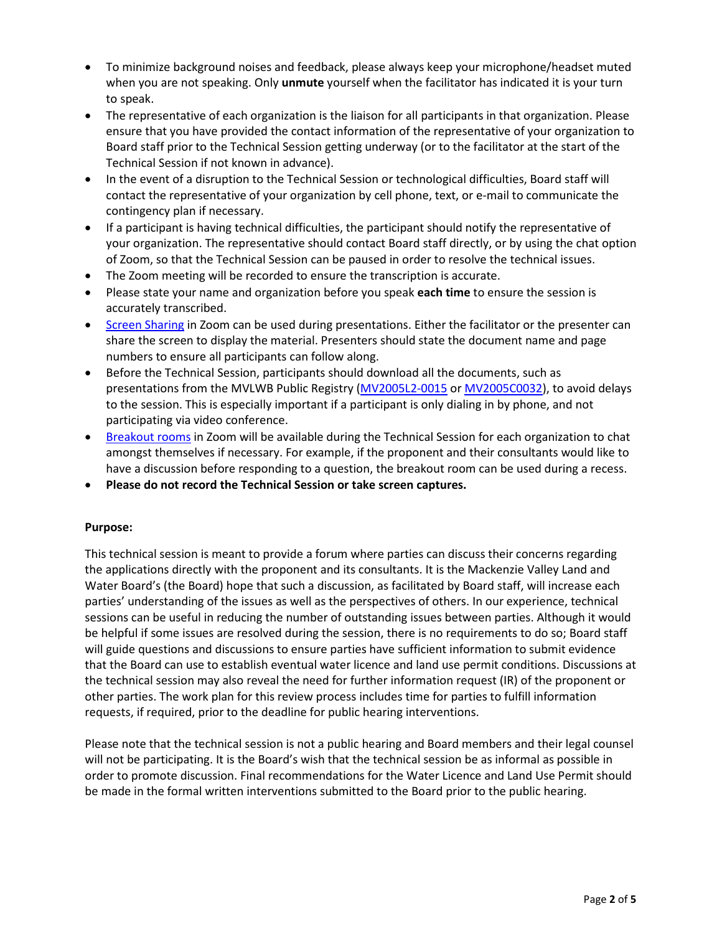- To minimize background noises and feedback, please always keep your microphone/headset muted when you are not speaking. Only **unmute** yourself when the facilitator has indicated it is your turn to speak.
- The representative of each organization is the liaison for all participants in that organization. Please ensure that you have provided the contact information of the representative of your organization to Board staff prior to the Technical Session getting underway (or to the facilitator at the start of the Technical Session if not known in advance).
- In the event of a disruption to the Technical Session or technological difficulties, Board staff will contact the representative of your organization by cell phone, text, or e-mail to communicate the contingency plan if necessary.
- If a participant is having technical difficulties, the participant should notify the representative of your organization. The representative should contact Board staff directly, or by using the chat option of Zoom, so that the Technical Session can be paused in order to resolve the technical issues.
- The Zoom meeting will be recorded to ensure the transcription is accurate.
- Please state your name and organization before you speak **each time** to ensure the session is accurately transcribed.
- [Screen Sharing](https://support.zoom.us/hc/en-us/articles/201362153-Sharing-your-screen-in-a-meeting) in Zoom can be used during presentations. Either the facilitator or the presenter can share the screen to display the material. Presenters should state the document name and page numbers to ensure all participants can follow along.
- Before the Technical Session, participants should download all the documents, such as presentations from the MVLWB Public Registry [\(MV2005L2-0015](https://mvlwb.com/registry/MV2005L2-0015) or [MV2005C0032\)](https://mvlwb.com/registry/MV2005C0032), to avoid delays to the session. This is especially important if a participant is only dialing in by phone, and not participating via video conference.
- [Breakout rooms](https://support.zoom.us/hc/en-us/articles/115005769646) in Zoom will be available during the Technical Session for each organization to chat amongst themselves if necessary. For example, if the proponent and their consultants would like to have a discussion before responding to a question, the breakout room can be used during a recess.
- **Please do not record the Technical Session or take screen captures.**

## **Purpose:**

This technical session is meant to provide a forum where parties can discuss their concerns regarding the applications directly with the proponent and its consultants. It is the Mackenzie Valley Land and Water Board's (the Board) hope that such a discussion, as facilitated by Board staff, will increase each parties' understanding of the issues as well as the perspectives of others. In our experience, technical sessions can be useful in reducing the number of outstanding issues between parties. Although it would be helpful if some issues are resolved during the session, there is no requirements to do so; Board staff will guide questions and discussions to ensure parties have sufficient information to submit evidence that the Board can use to establish eventual water licence and land use permit conditions. Discussions at the technical session may also reveal the need for further information request (IR) of the proponent or other parties. The work plan for this review process includes time for parties to fulfill information requests, if required, prior to the deadline for public hearing interventions.

Please note that the technical session is not a public hearing and Board members and their legal counsel will not be participating. It is the Board's wish that the technical session be as informal as possible in order to promote discussion. Final recommendations for the Water Licence and Land Use Permit should be made in the formal written interventions submitted to the Board prior to the public hearing.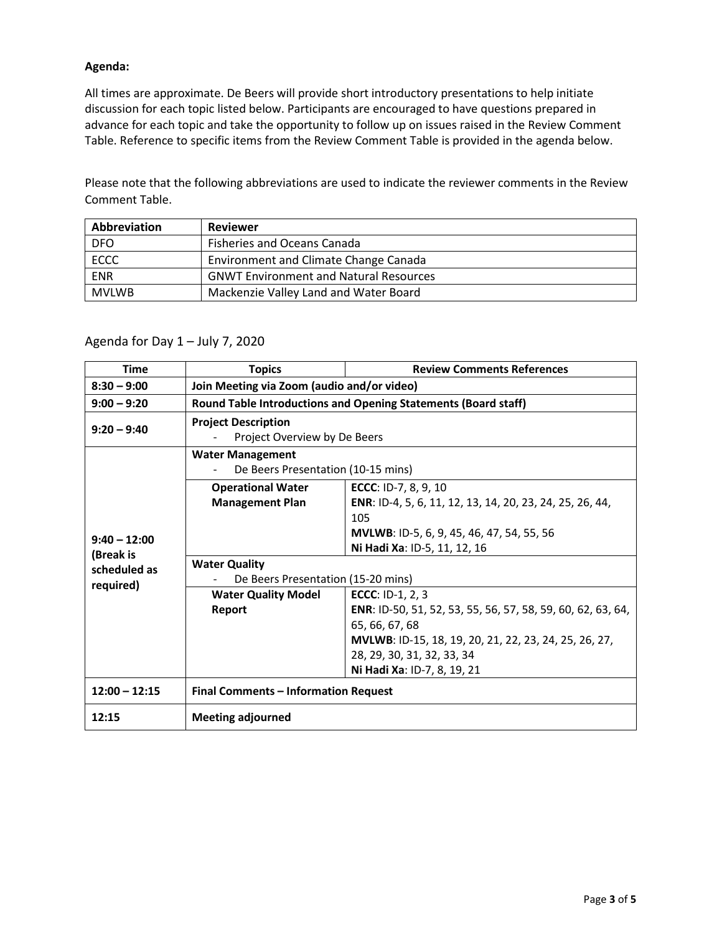## **Agenda:**

All times are approximate. De Beers will provide short introductory presentations to help initiate discussion for each topic listed below. Participants are encouraged to have questions prepared in advance for each topic and take the opportunity to follow up on issues raised in the Review Comment Table. Reference to specific items from the Review Comment Table is provided in the agenda below.

Please note that the following abbreviations are used to indicate the reviewer comments in the Review Comment Table.

| Abbreviation | <b>Reviewer</b>                               |  |
|--------------|-----------------------------------------------|--|
| <b>DFO</b>   | <b>Fisheries and Oceans Canada</b>            |  |
| <b>ECCC</b>  | Environment and Climate Change Canada         |  |
| <b>ENR</b>   | <b>GNWT Environment and Natural Resources</b> |  |
| <b>MVLWB</b> | Mackenzie Valley Land and Water Board         |  |

# Agenda for Day 1 – July 7, 2020

| <b>Time</b>                                 | <b>Topics</b>                                                  | <b>Review Comments References</b>                                   |  |
|---------------------------------------------|----------------------------------------------------------------|---------------------------------------------------------------------|--|
| $8:30 - 9:00$                               | Join Meeting via Zoom (audio and/or video)                     |                                                                     |  |
| $9:00 - 9:20$                               | Round Table Introductions and Opening Statements (Board staff) |                                                                     |  |
| $9:20 - 9:40$                               | <b>Project Description</b><br>Project Overview by De Beers     |                                                                     |  |
|                                             | <b>Water Management</b>                                        |                                                                     |  |
|                                             | De Beers Presentation (10-15 mins)                             |                                                                     |  |
| $9:40 - 12:00$<br>(Break is<br>scheduled as | <b>Operational Water</b>                                       | ECCC: ID-7, 8, 9, 10                                                |  |
|                                             | <b>Management Plan</b>                                         | ENR: ID-4, 5, 6, 11, 12, 13, 14, 20, 23, 24, 25, 26, 44,            |  |
|                                             |                                                                | 105                                                                 |  |
|                                             |                                                                | <b>MVLWB: ID-5, 6, 9, 45, 46, 47, 54, 55, 56</b>                    |  |
|                                             |                                                                | Ni Hadi Xa: ID-5, 11, 12, 16                                        |  |
|                                             | <b>Water Quality</b>                                           |                                                                     |  |
| required)                                   | De Beers Presentation (15-20 mins)                             |                                                                     |  |
|                                             | <b>Water Quality Model</b>                                     | <b>ECCC: ID-1, 2, 3</b>                                             |  |
|                                             | Report                                                         | <b>ENR</b> : ID-50, 51, 52, 53, 55, 56, 57, 58, 59, 60, 62, 63, 64, |  |
|                                             |                                                                | 65, 66, 67, 68                                                      |  |
|                                             |                                                                | MVLWB: ID-15, 18, 19, 20, 21, 22, 23, 24, 25, 26, 27,               |  |
|                                             |                                                                | 28, 29, 30, 31, 32, 33, 34                                          |  |
|                                             |                                                                | Ni Hadi Xa: ID-7, 8, 19, 21                                         |  |
| $12:00 - 12:15$                             | <b>Final Comments - Information Request</b>                    |                                                                     |  |
| 12:15                                       | <b>Meeting adjourned</b>                                       |                                                                     |  |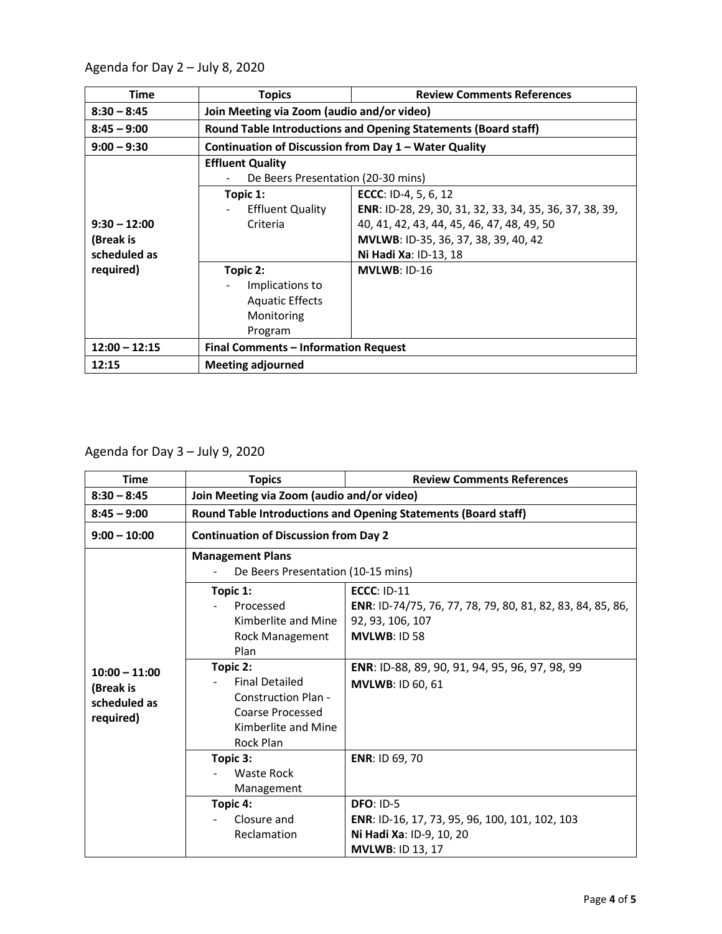Agenda for Day 2 – July 8, 2020

| Time                                        | <b>Topics</b>                                                                  | <b>Review Comments References</b>                                                                                                                                                                     |  |
|---------------------------------------------|--------------------------------------------------------------------------------|-------------------------------------------------------------------------------------------------------------------------------------------------------------------------------------------------------|--|
| $8:30 - 8:45$                               | Join Meeting via Zoom (audio and/or video)                                     |                                                                                                                                                                                                       |  |
| $8:45 - 9:00$                               | <b>Round Table Introductions and Opening Statements (Board staff)</b>          |                                                                                                                                                                                                       |  |
| $9:00 - 9:30$                               | Continuation of Discussion from Day 1 - Water Quality                          |                                                                                                                                                                                                       |  |
| $9:30 - 12:00$<br>(Break is<br>scheduled as | <b>Effluent Quality</b><br>De Beers Presentation (20-30 mins)                  |                                                                                                                                                                                                       |  |
|                                             | Topic 1:<br><b>Effluent Quality</b><br>Criteria                                | <b>ECCC: ID-4, 5, 6, 12</b><br>ENR: ID-28, 29, 30, 31, 32, 33, 34, 35, 36, 37, 38, 39,<br>40, 41, 42, 43, 44, 45, 46, 47, 48, 49, 50<br>MVLWB: ID-35, 36, 37, 38, 39, 40, 42<br>Ni Hadi Xa: ID-13, 18 |  |
| required)                                   | Topic 2:<br>Implications to<br><b>Aquatic Effects</b><br>Monitoring<br>Program | $MVLWB: ID-16$                                                                                                                                                                                        |  |
| $12:00 - 12:15$                             | Final Comments - Information Request                                           |                                                                                                                                                                                                       |  |
| 12:15                                       | <b>Meeting adjourned</b>                                                       |                                                                                                                                                                                                       |  |

Agenda for Day 3 – July 9, 2020

| <b>Time</b>                                               | <b>Topics</b>                                                                                                                                                                                      | <b>Review Comments References</b>                                                                                                                                                                        |  |
|-----------------------------------------------------------|----------------------------------------------------------------------------------------------------------------------------------------------------------------------------------------------------|----------------------------------------------------------------------------------------------------------------------------------------------------------------------------------------------------------|--|
| $8:30 - 8:45$                                             | Join Meeting via Zoom (audio and/or video)                                                                                                                                                         |                                                                                                                                                                                                          |  |
| $8:45 - 9:00$                                             | <b>Round Table Introductions and Opening Statements (Board staff)</b>                                                                                                                              |                                                                                                                                                                                                          |  |
| $9:00 - 10:00$                                            | <b>Continuation of Discussion from Day 2</b>                                                                                                                                                       |                                                                                                                                                                                                          |  |
| $10:00 - 11:00$<br>(Break is<br>scheduled as<br>required) | <b>Management Plans</b><br>De Beers Presentation (10-15 mins)                                                                                                                                      |                                                                                                                                                                                                          |  |
|                                                           | Topic 1:<br>Processed<br>Kimberlite and Mine<br>Rock Management<br>Plan<br>Topic 2:<br><b>Final Detailed</b><br><b>Construction Plan -</b><br>Coarse Processed<br>Kimberlite and Mine<br>Rock Plan | <b>ECCC: ID-11</b><br>ENR: ID-74/75, 76, 77, 78, 79, 80, 81, 82, 83, 84, 85, 86,<br>92, 93, 106, 107<br><b>MVLWB: ID 58</b><br>ENR: ID-88, 89, 90, 91, 94, 95, 96, 97, 98, 99<br><b>MVLWB: ID 60, 61</b> |  |
|                                                           | Topic 3:<br>Waste Rock<br>Management                                                                                                                                                               | ENR: ID 69, 70                                                                                                                                                                                           |  |
|                                                           | Topic 4:<br>Closure and<br>Reclamation                                                                                                                                                             | <b>DFO: ID-5</b><br>ENR: ID-16, 17, 73, 95, 96, 100, 101, 102, 103<br>Ni Hadi Xa: ID-9, 10, 20<br><b>MVLWB: ID 13, 17</b>                                                                                |  |